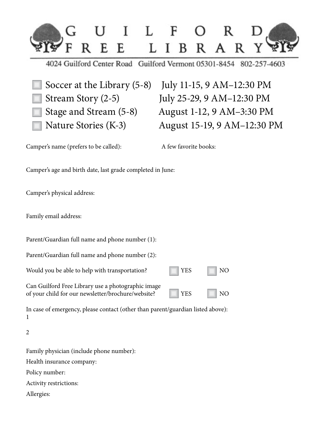

4024 Guilford Center Road Guilford Vermont 05301-8454 802-257-4603

Soccer at the Library (5-8) July 11-15, 9 AM–12:30 PM Stream Story (2-5) July 25-29, 9 AM–12:30 PM Stage and Stream (5-8) August 1-12, 9 AM–3:30 PM Nature Stories (K-3) August 15-19, 9 AM–12:30 PM

Camper's name (prefers to be called): A few favorite books:

Camper's age and birth date, last grade completed in June:

Camper's physical address:

Family email address:

Parent/Guardian full name and phone number (1):

Parent/Guardian full name and phone number (2):

Would you be able to help with transportation? The VES NO

Can Guilford Free Library use a photographic image of your child for our newsletter/brochure/website? VES NO

In case of emergency, please contact (other than parent/guardian listed above): 1

2

Family physician (include phone number): Health insurance company:

Policy number:

Activity restrictions:

Allergies: